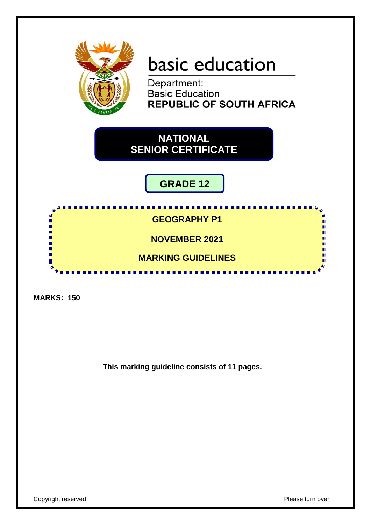

# basic education

Department: **Basic Education REPUBLIC OF SOUTH AFRICA** 

**NATIONAL SENIOR CERTIFICATE**

# **GRADE 12**

**GEOGRAPHY P1 NOVEMBER 2021**

-----------

**MARKING GUIDELINES** 

----------------

**MARKS: 150**

II. 11<br>11 ı. ı. 庫 Т

**This marking guideline consists of 11 pages.**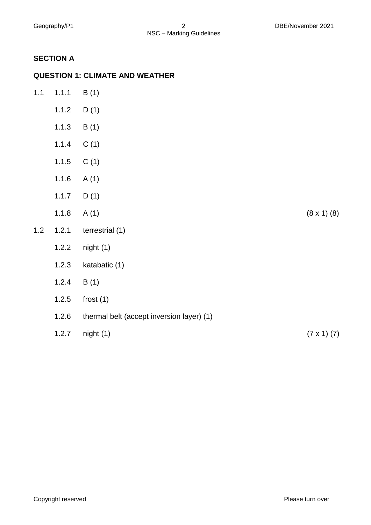## **SECTION A**

#### **QUESTION 1: CLIMATE AND WEATHER**

| $1.1$ | 1.1.1 | B(1)                                      |                      |
|-------|-------|-------------------------------------------|----------------------|
|       | 1.1.2 | D(1)                                      |                      |
|       | 1.1.3 | B(1)                                      |                      |
|       | 1.1.4 | C(1)                                      |                      |
|       | 1.1.5 | C(1)                                      |                      |
|       | 1.1.6 | A(1)                                      |                      |
|       | 1.1.7 | D(1)                                      |                      |
|       | 1.1.8 | A(1)                                      | $(8 \times 1)$ $(8)$ |
| $1.2$ | 1.2.1 | terrestrial (1)                           |                      |
|       | 1.2.2 | night(1)                                  |                      |
|       | 1.2.3 | katabatic (1)                             |                      |
|       | 1.2.4 | B(1)                                      |                      |
|       | 1.2.5 | frost $(1)$                               |                      |
|       | 1.2.6 | thermal belt (accept inversion layer) (1) |                      |
|       | 1.2.7 | night(1)                                  | $(7 \times 1)$ $(7)$ |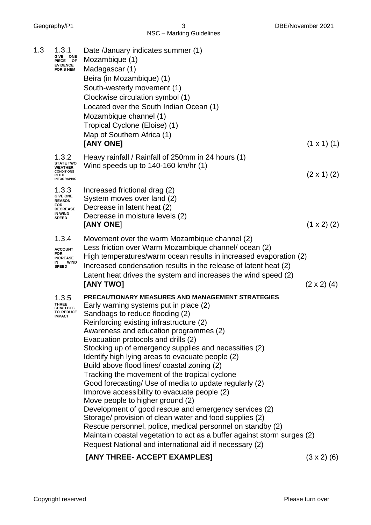|     |                                                                                                       | NSC - Marking Guidelines                                                                                                                                                                                                                                                                                                                                                                                                                                                                                                                                                                                                                                                                                                                                                                                                                                                                                                                     |                    |
|-----|-------------------------------------------------------------------------------------------------------|----------------------------------------------------------------------------------------------------------------------------------------------------------------------------------------------------------------------------------------------------------------------------------------------------------------------------------------------------------------------------------------------------------------------------------------------------------------------------------------------------------------------------------------------------------------------------------------------------------------------------------------------------------------------------------------------------------------------------------------------------------------------------------------------------------------------------------------------------------------------------------------------------------------------------------------------|--------------------|
| 1.3 | 1.3.1<br>GIVE ONE<br>PIECE OF<br><b>EVIDENCE</b><br><b>FOR SHEM</b>                                   | Date /January indicates summer (1)<br>Mozambique (1)<br>Madagascar (1)<br>Beira (in Mozambique) (1)<br>South-westerly movement (1)<br>Clockwise circulation symbol (1)<br>Located over the South Indian Ocean (1)<br>Mozambique channel (1)<br>Tropical Cyclone (Eloise) (1)<br>Map of Southern Africa (1)<br>[ANY ONE]                                                                                                                                                                                                                                                                                                                                                                                                                                                                                                                                                                                                                      | $(1 \times 1)$ (1) |
|     | 1.3.2<br><b>STATE TWO</b><br><b>WEATHER</b><br><b>CONDITIONS</b><br>IN THE<br><b>INFOGRAPHIC</b>      | Heavy rainfall / Rainfall of 250mm in 24 hours (1)<br>Wind speeds up to $140-160$ km/hr $(1)$                                                                                                                                                                                                                                                                                                                                                                                                                                                                                                                                                                                                                                                                                                                                                                                                                                                | $(2 \times 1)$ (2) |
|     | 1.3.3<br><b>GIVE ONE</b><br><b>REASON</b><br><b>FOR</b><br><b>DECREASE</b><br>IN WIND<br><b>SPEED</b> | Increased frictional drag (2)<br>System moves over land (2)<br>Decrease in latent heat (2)<br>Decrease in moisture levels (2)<br>[ANY ONE]                                                                                                                                                                                                                                                                                                                                                                                                                                                                                                                                                                                                                                                                                                                                                                                                   | $(1 \times 2)$ (2) |
|     | 1.3.4<br><b>ACCOUNT</b><br><b>FOR</b><br><b>INCREASE</b><br><b>WIND</b><br>IN<br><b>SPEED</b>         | Movement over the warm Mozambique channel (2)<br>Less friction over Warm Mozambique channel/ocean (2)<br>High temperatures/warm ocean results in increased evaporation (2)<br>Increased condensation results in the release of latent heat (2)<br>Latent heat drives the system and increases the wind speed (2)<br>[ANY TWO]                                                                                                                                                                                                                                                                                                                                                                                                                                                                                                                                                                                                                | $(2 \times 2)$ (4) |
|     | 1.3.5<br><b>THREE</b><br><b>STRATEGIES</b><br><b>TO REDUCE</b><br><b>IMPACT</b>                       | PRECAUTIONARY MEASURES AND MANAGEMENT STRATEGIES<br>Early warning systems put in place (2)<br>Sandbags to reduce flooding (2)<br>Reinforcing existing infrastructure (2)<br>Awareness and education programmes (2)<br>Evacuation protocols and drills (2)<br>Stocking up of emergency supplies and necessities (2)<br>Identify high lying areas to evacuate people (2)<br>Build above flood lines/ coastal zoning (2)<br>Tracking the movement of the tropical cyclone<br>Good forecasting/ Use of media to update regularly (2)<br>Improve accessibility to evacuate people (2)<br>Move people to higher ground (2)<br>Development of good rescue and emergency services (2)<br>Storage/ provision of clean water and food supplies (2)<br>Rescue personnel, police, medical personnel on standby (2)<br>Maintain coastal vegetation to act as a buffer against storm surges (2)<br>Request National and international aid if necessary (2) |                    |
|     |                                                                                                       | [ANY THREE- ACCEPT EXAMPLES]                                                                                                                                                                                                                                                                                                                                                                                                                                                                                                                                                                                                                                                                                                                                                                                                                                                                                                                 | $(3 \times 2)$ (6) |

Geography/P1 3 DBE/November 2021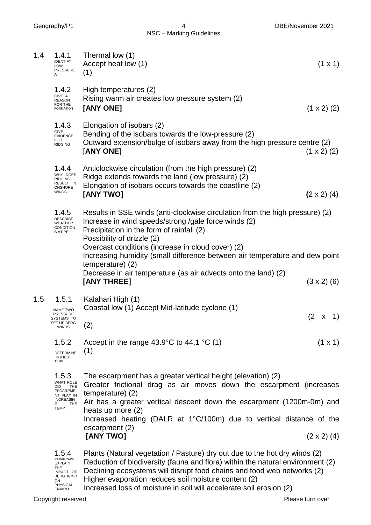NSC – Marking Guidelines

Geography/P1 4 DBE/November 2021

| 1.4 | 1.4.1<br><b>IDENTIFY</b><br>LOW<br><b>PRESSURE</b><br>A                                                                 | Thermal low (1)<br>Accept heat low (1)<br>(1)                                                                                                                                                                                                                                                                                                                          | $(1 \times 1)$     |
|-----|-------------------------------------------------------------------------------------------------------------------------|------------------------------------------------------------------------------------------------------------------------------------------------------------------------------------------------------------------------------------------------------------------------------------------------------------------------------------------------------------------------|--------------------|
|     | 1.4.2<br>GIVE A<br><b>REASON</b><br>FOR THE<br><b>FORMATION</b>                                                         | High temperatures (2)<br>Rising warm air creates low pressure system (2)<br>[ANY ONE]                                                                                                                                                                                                                                                                                  | $(1 \times 2)$ (2) |
|     | 1.4.3<br>GIVE<br><b>EVIDENCE</b><br><b>FOR</b><br><b>RIDGING</b>                                                        | Elongation of isobars (2)<br>Bending of the isobars towards the low-pressure (2)<br>Outward extension/bulge of isobars away from the high pressure centre (2)<br>[ANY ONE]                                                                                                                                                                                             | $(1 \times 2)$ (2) |
|     | 1.4.4<br>WHY DOES<br><b>RIDGING</b><br>RESULT IN<br><b>ONSHORE</b><br><b>WINDS</b>                                      | Anticlockwise circulation (from the high pressure) (2)<br>Ridge extends towards the land (low pressure) (2)<br>Elongation of isobars occurs towards the coastline (2)<br>[ANY TWO]                                                                                                                                                                                     | $(2 \times 2)$ (4) |
|     | 1.4.5<br><b>DESCRIBE</b><br><b>WEATHER</b><br>CONDITION<br>S AT PE                                                      | Results in SSE winds (anti-clockwise circulation from the high pressure) (2)<br>Increase in wind speeds/strong /gale force winds (2)<br>Precipitation in the form of rainfall (2)<br>Possibility of drizzle (2)<br>Overcast conditions (increase in cloud cover) (2)                                                                                                   |                    |
|     |                                                                                                                         | Increasing humidity (small difference between air temperature and dew point<br>temperature) (2)<br>Decrease in air temperature (as air advects onto the land) (2)<br>[ANY THREE]                                                                                                                                                                                       | $(3 \times 2)$ (6) |
| 1.5 | 1.5.1<br>NAME TWO<br><b>PRESSURE</b><br>SYSTEMS TO<br>SET UP BERG<br><b>WINDS</b>                                       | Kalahari High (1)<br>Coastal low (1) Accept Mid-latitude cyclone (1)<br>(2)                                                                                                                                                                                                                                                                                            | (2)<br>1)<br>X     |
|     | 1.5.2<br><b>DETERMINE</b><br><b>HIGHEST</b><br><b>TEMP</b>                                                              | Accept in the range 43.9 $\degree$ C to 44,1 $\degree$ C (1)<br>(1)                                                                                                                                                                                                                                                                                                    | $(1 \times 1)$     |
|     | 1.5.3<br><b>WHAT ROLE</b><br>THE<br>DID<br><b>ESCARPME</b><br>NT PLAY IN<br><b>INCREASIN</b><br>THE<br>G<br><b>TEMP</b> | The escarpment has a greater vertical height (elevation) (2)<br>Greater frictional drag as air moves down the escarpment (increases<br>temperature) (2)<br>Air has a greater vertical descent down the escarpment (1200m-0m) and<br>heats up more (2)<br>Increased heating (DALR at 1°C/100m) due to vertical distance of the<br>escarpment (2)<br>[ANY TWO]           | $(2 \times 2)$ (4) |
|     | 1.5.4<br>PARAGRAPH<br><b>EXPLAIN</b><br>THE<br>IMPACT OF<br><b>BERG WIND</b><br>ON<br>PHYSICAL<br><b>ENVIRO</b>         | Plants (Natural vegetation / Pasture) dry out due to the hot dry winds (2)<br>Reduction of biodiversity (fauna and flora) within the natural environment (2)<br>Declining ecosystems will disrupt food chains and food web networks (2)<br>Higher evaporation reduces soil moisture content (2)<br>Increased loss of moisture in soil will accelerate soil erosion (2) |                    |

Increased loss of moisture in soil will accelerate soil erosion (2)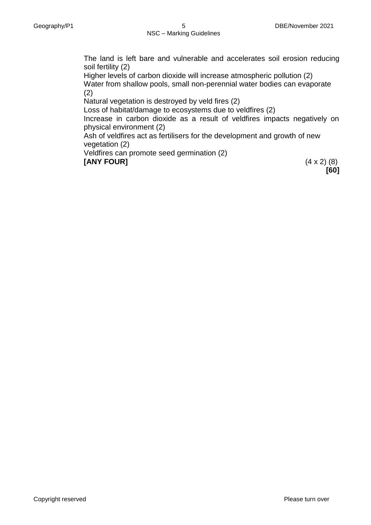The land is left bare and vulnerable and accelerates soil erosion reducing soil fertility (2)

Higher levels of carbon dioxide will increase atmospheric pollution (2) Water from shallow pools, small non-perennial water bodies can evaporate (2)

Natural vegetation is destroyed by veld fires (2)

Loss of habitat/damage to ecosystems due to veldfires (2)

Increase in carbon dioxide as a result of veldfires impacts negatively on physical environment (2)

Ash of veldfires act as fertilisers for the development and growth of new vegetation (2)

Veldfires can promote seed germination (2) **[ANY FOUR]** (4 x 2) (8)

**[60]**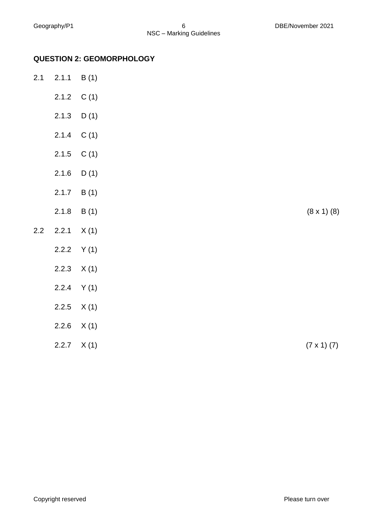### **QUESTION 2: GEOMORPHOLOGY**

| 2.1 | 2.1.1 | B(1)         |                      |
|-----|-------|--------------|----------------------|
|     |       | 2.1.2 $C(1)$ |                      |
|     | 2.1.3 | D(1)         |                      |
|     | 2.1.4 | C(1)         |                      |
|     | 2.1.5 | C(1)         |                      |
|     | 2.1.6 | D(1)         |                      |
|     | 2.1.7 | B(1)         |                      |
|     | 2.1.8 | B(1)         | $(8 \times 1)$ $(8)$ |
| 2.2 | 2.2.1 | X(1)         |                      |
|     | 2.2.2 | Y(1)         |                      |
|     | 2.2.3 | X(1)         |                      |
|     | 2.2.4 | Y(1)         |                      |
|     | 2.2.5 | X(1)         |                      |
|     | 2.2.6 | X(1)         |                      |
|     | 2.2.7 | X(1)         | $(7 \times 1) (7)$   |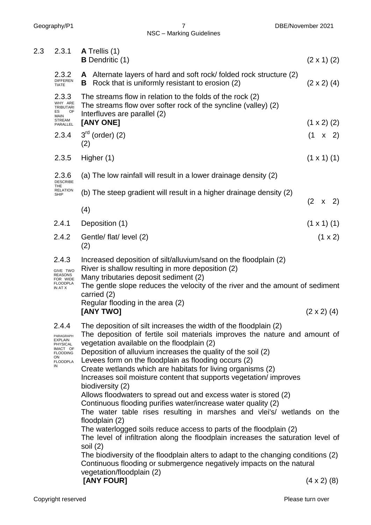2.3 2.3.1 **A** Trellis (1) **B** Dendritic (1) (2 x 1) (2) 2.3.2 DIFFEREN TIATE **A** Alternate layers of hard and soft rock/ folded rock structure (2) **B** Rock that is uniformly resistant to erosion (2) (2 x 2) (4) 2.3.3 WHY ARE TRIBUTARI ES OF MAIN STREAM PARALLEL The streams flow in relation to the folds of the rock (2) The streams flow over softer rock of the syncline (valley) (2) Interfluves are parallel (2) **[ANY ONE]** (1 x 2) (2) 2.34  $3^{rd}$  (order) (2) (1 x 2) (2) 2.3.5 Higher (1) (1 x 1) (1) 2.3.6 DESCRIBE THE<br>RELATION<br>SHIP (a) The low rainfall will result in a lower drainage density (2) (b) The steep gradient will result in a higher drainage density (2) (2 x 2) (4) 2.4.1 Deposition (1)  $(1 \times 1)(1)$  $2.4.2$  Gentle/ flat/ level (2) (1 x 2) (2) 2.4.3 GIVE TWO REASONS FOR WIDE FLOODPLA IN AT X Increased deposition of silt/alluvium/sand on the floodplain (2) River is shallow resulting in more deposition (2) Many tributaries deposit sediment (2) The gentle slope reduces the velocity of the river and the amount of sediment carried (2) Regular flooding in the area (2) **[ANY TWO]** (2 x 2) (4) 2.4.4 PARAGRAPH EXPLAIN **PHYSICAL** IMACT OF **FLOODING** ON FLOODPLA IN The deposition of silt increases the width of the floodplain (2) The deposition of fertile soil materials improves the nature and amount of vegetation available on the floodplain (2) Deposition of alluvium increases the quality of the soil (2) Levees form on the floodplain as flooding occurs (2) Create wetlands which are habitats for living organisms (2) Increases soil moisture content that supports vegetation/ improves biodiversity (2) Allows floodwaters to spread out and excess water is stored (2) Continuous flooding purifies water/increase water quality (2) The water table rises resulting in marshes and vlei's/ wetlands on the floodplain (2) The waterlogged soils reduce access to parts of the floodplain (2) The level of infiltration along the floodplain increases the saturation level of soil (2) The biodiversity of the floodplain alters to adapt to the changing conditions (2) Continuous flooding or submergence negatively impacts on the natural vegetation/floodplain (2)

**[ANY FOUR]** (4 x 2) (8)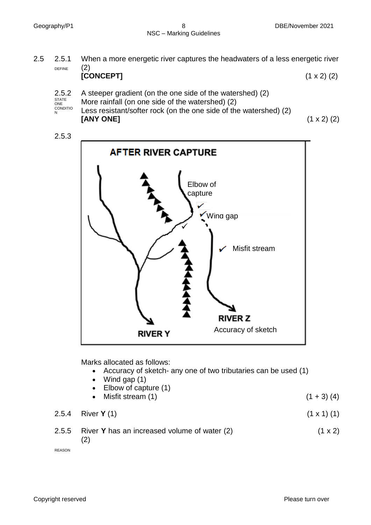2.5 2.5.1 DEFINE When a more energetic river captures the headwaters of a less energetic river (2)

|                     | [CONCEPT]                                                       | $(1 \times 2)$ (2) |
|---------------------|-----------------------------------------------------------------|--------------------|
|                     | 2.5.2 A steeper gradient (on the one side of the watershed) (2) |                    |
| STATE<br><b>ONE</b> | More rainfall (on one side of the watershed) (2)                |                    |

STATE ONE CONDITIO N Less resistant/softer rock (on the one side of the watershed) (2) **[ANY ONE]** (1 x 2) (2)





Marks allocated as follows:

- Accuracy of sketch- any one of two tributaries can be used (1)
- $\bullet$  Wind gap  $(1)$
- Elbow of capture (1)
- Misfit stream  $(1)$  (1 + 3)  $(4)$

2.5.4 River **Y** (1) (1 x 1) (1)

2.5.5 River **Y** has an increased volume of water (2) 
$$
(1 \times 2)
$$
  $(2)$ 

REASON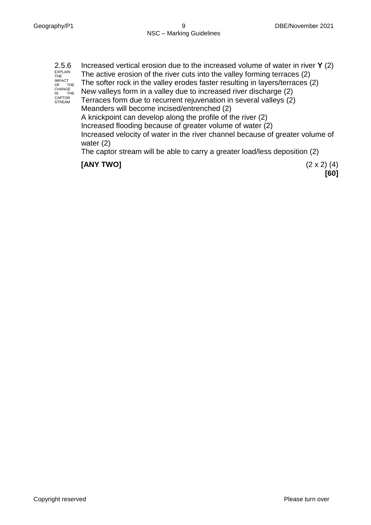| 2.5.6<br><b>EXPLAIN</b><br>THE<br><b>IMPACT</b><br>OF THE<br>CHANGE<br><b>THE</b><br>IN<br>CAPTOR<br><b>STREAM</b> | Increased vertical erosion due to the increased volume of water in river $Y(2)$<br>The active erosion of the river cuts into the valley forming terraces (2)<br>The softer rock in the valley erodes faster resulting in layers/terraces (2)<br>New valleys form in a valley due to increased river discharge (2)<br>Terraces form due to recurrent rejuvenation in several valleys (2)<br>Meanders will become incised/entrenched (2)<br>A knickpoint can develop along the profile of the river (2)<br>Increased flooding because of greater volume of water (2)<br>Increased velocity of water in the river channel because of greater volume of<br>water $(2)$ |
|--------------------------------------------------------------------------------------------------------------------|--------------------------------------------------------------------------------------------------------------------------------------------------------------------------------------------------------------------------------------------------------------------------------------------------------------------------------------------------------------------------------------------------------------------------------------------------------------------------------------------------------------------------------------------------------------------------------------------------------------------------------------------------------------------|
|                                                                                                                    |                                                                                                                                                                                                                                                                                                                                                                                                                                                                                                                                                                                                                                                                    |

The captor stream will be able to carry a greater load/less deposition (2)

## **[ANY TWO]** (2 x 2) (4)

**[60]**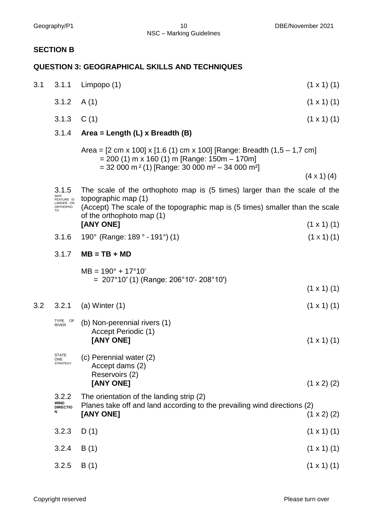#### **SECTION B**

#### **QUESTION 3: GEOGRAPHICAL SKILLS AND TECHNIQUES**

| 3.1 | 3.1.1                                   | Limpopo (1)                                                                                                                                                                                                                                           | $(1 \times 1)$ (1) |
|-----|-----------------------------------------|-------------------------------------------------------------------------------------------------------------------------------------------------------------------------------------------------------------------------------------------------------|--------------------|
|     | 3.1.2                                   | A(1)                                                                                                                                                                                                                                                  | $(1 \times 1)$ (1) |
|     | 3.1.3                                   | C(1)                                                                                                                                                                                                                                                  | $(1 \times 1)$ (1) |
|     | 3.1.4                                   | Area = Length $(L)$ x Breadth $(B)$                                                                                                                                                                                                                   |                    |
|     |                                         | Area = $[2 \text{ cm } \times 100] \times [1.6 (1) \text{ cm } \times 100]$ [Range: Breadth (1,5 – 1,7 cm]<br>$= 200$ (1) m x 160 (1) m [Range: 150m - 170m]<br>$=$ 32 000 m <sup>2</sup> (1) [Range: 30 000 m <sup>2</sup> – 34 000 m <sup>2</sup> ] |                    |
|     |                                         |                                                                                                                                                                                                                                                       | $(4 \times 1)$ (4) |
|     | 3.1.5<br>WHY<br>FEATURE IS<br>LARGER ON | The scale of the orthophoto map is (5 times) larger than the scale of the<br>topographic map (1)                                                                                                                                                      |                    |
|     | <b>ORTHOPHO</b><br>TO.                  | (Accept) The scale of the topographic map is (5 times) smaller than the scale<br>of the orthophoto map (1)                                                                                                                                            |                    |
|     |                                         | [ANY ONE]                                                                                                                                                                                                                                             | $(1 \times 1)$ (1) |
|     | 3.1.6                                   | 190 $^{\circ}$ (Range: 189 $^{\circ}$ - 191 $^{\circ}$ ) (1)                                                                                                                                                                                          | $(1 \times 1)$ (1) |
|     | 3.1.7                                   | $MB = TB + MD$                                                                                                                                                                                                                                        |                    |

 $MB = 190^\circ + 17^\circ 10'$  $= 207^{\circ}10'$  (1) (Range: 206°10'- 208°10')

(1 x 1) (1)

|  |                                                    | $(1 \times 1)$ (1) |
|--|----------------------------------------------------|--------------------|
|  | $T_{RIVER}^{TYPE}$ of (b) Non-perennial rivers (1) |                    |

$$
(\text{1 x 1})
$$
\n
$$
(\text{1 x 2})
$$
\n
$$
(\text{1 x 3})
$$
\n
$$
(\text{1 x 4})
$$
\n
$$
(\text{1 x 5})
$$
\n
$$
(\text{1 x 1})
$$
\n
$$
(\text{1 x 1})
$$

| <b>STATE</b><br>ONE | (c) Perennial water (2) |                    |
|---------------------|-------------------------|--------------------|
| <b>STRATEGY</b>     | Accept dams (2)         |                    |
|                     | Reservoirs (2)          |                    |
|                     | [ANY ONE]               | $(1 \times 2)$ (2) |
|                     |                         |                    |

|                 | <b>WIND</b> | Planes take off and land according to the prevailing wind directions (2)<br>[ANY ONE] | $(1 \times 2)$ (2) |
|-----------------|-------------|---------------------------------------------------------------------------------------|--------------------|
| <b>DIRECTIO</b> | 3.2.2       | The orientation of the landing strip (2)                                              |                    |
|                 |             |                                                                                       |                    |

| $3.2.3$ D(1) |  | $(1 \times 1)$ (1) |
|--------------|--|--------------------|
|              |  |                    |

- 3.2.4 B (1) (1 x 1) (1)
- 3.2.5 B (1) (1 x 1) (1)